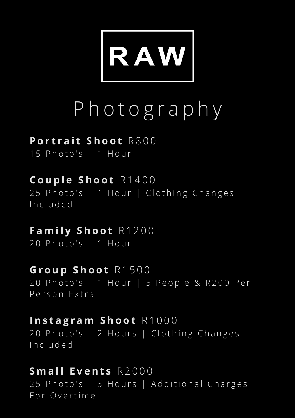

# P h o t o g r a p h y

#### **P o r t r a i t S h o o t** R 8 0 0

15 Photo's | 1 Hour

**C o u p l e S h o o t** R 1 4 0 0 25 Photo's | 1 Hour | Clothing Changes I n c l u d e d

**F a m i l y S h o o t** R 1 2 0 0 20 Photo's | 1 Hour

**G r o u p S h o o t** R 1 5 0 0 20 Photo's | 1 Hour | 5 People & R200 Per Person Extra

**I n s t a g r a m S h o o t** R 1 0 0 0 20 Photo's | 2 Hours | Clothing Changes I n c l u d e d

**S m a l l E v e n t s** R 2 0 0 0 25 Photo's | 3 Hours | Additional Charges For Overtime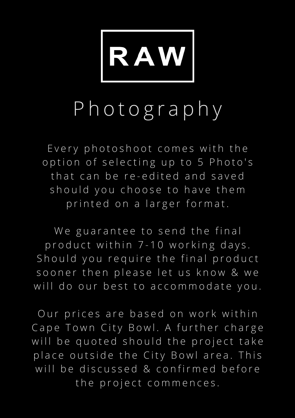

### P h o t o g r a p h y

Every photoshoot comes with the option of selecting up to 5 Photo's that can be re-edited and saved should you choose to have them printed on a larger format.

We guarantee to send the final p r o d u c t within 7-10 w orking days. Should you require the final product sooner then please let us know & we will do our best to accommodate you.

Our prices are based on work within Cape Town City Bowl. A further charge will be quoted should the project take place outside the City Bowl area. This will be discussed & confirmed before the project commences.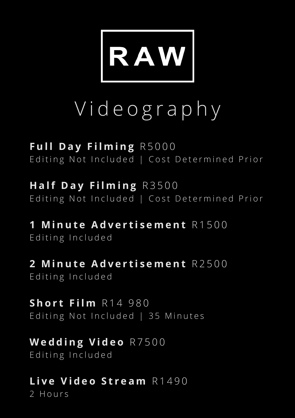

# V i d e o g r a p h y

**F u l l D a y F i l m i n g** R 5 0 0 0 Editing Not Included | Cost Determined Prior

**H a lf D a y F i l m i n g** R 3 5 0 0 Editing Not Included | Cost Determined Prior

**1 M i n u t e A d v e r t i s e m e n t** R 1 5 0 0 Editing Included

**2 M i n u t e A d v e r t i s e m e n t** R 2 5 0 0 Editing Included

**S h o r t F i l m** R 1 4 9 8 0 Editing Not Included | 35 Minutes

**W e d d i n g V i d e o** R 7 5 0 0 Editing Included

**L i v e V i d e o S t r e a m** R 1 4 9 0 2 Hours